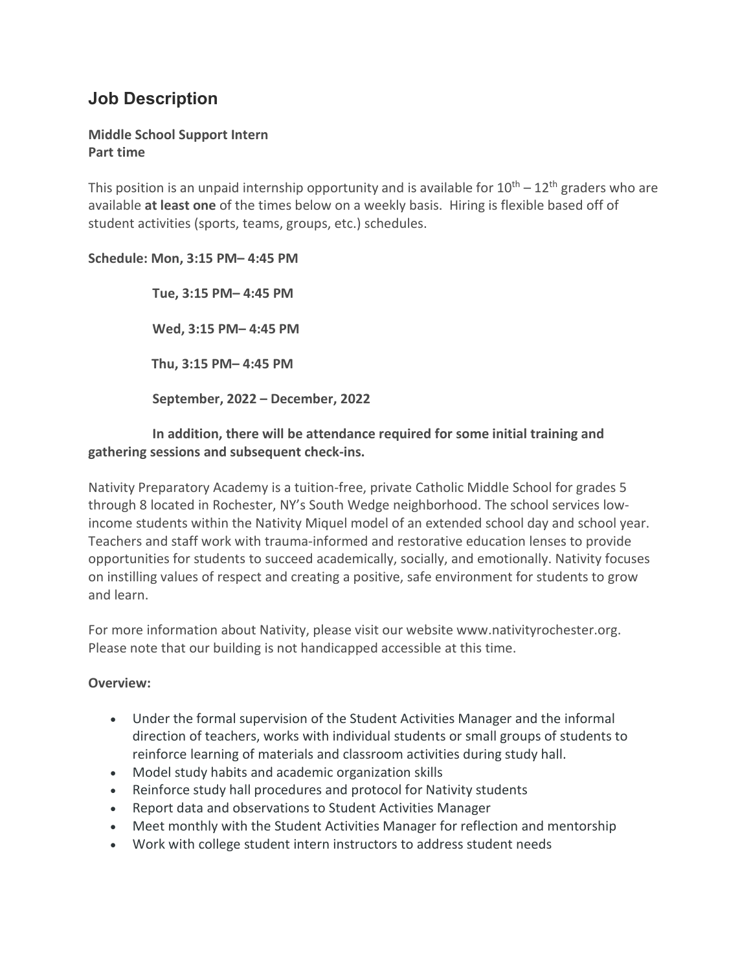# **Job Description**

# **Middle School Support Intern Part time**

This position is an unpaid internship opportunity and is available for  $10^{th} - 12^{th}$  graders who are available **at least one** of the times below on a weekly basis. Hiring is flexible based off of student activities (sports, teams, groups, etc.) schedules.

### **Schedule: Mon, 3:15 PM– 4:45 PM**

 **Tue, 3:15 PM– 4:45 PM Wed, 3:15 PM– 4:45 PM Thu, 3:15 PM– 4:45 PM September, 2022 – December, 2022**

# **In addition, there will be attendance required for some initial training and gathering sessions and subsequent check-ins.**

Nativity Preparatory Academy is a tuition-free, private Catholic Middle School for grades 5 through 8 located in Rochester, NY's South Wedge neighborhood. The school services lowincome students within the Nativity Miquel model of an extended school day and school year. Teachers and staff work with trauma-informed and restorative education lenses to provide opportunities for students to succeed academically, socially, and emotionally. Nativity focuses on instilling values of respect and creating a positive, safe environment for students to grow and learn.

For more information about Nativity, please visit our website www.nativityrochester.org. Please note that our building is not handicapped accessible at this time.

## **Overview:**

- Under the formal supervision of the Student Activities Manager and the informal direction of teachers, works with individual students or small groups of students to reinforce learning of materials and classroom activities during study hall.
- Model study habits and academic organization skills
- Reinforce study hall procedures and protocol for Nativity students
- Report data and observations to Student Activities Manager
- Meet monthly with the Student Activities Manager for reflection and mentorship
- Work with college student intern instructors to address student needs